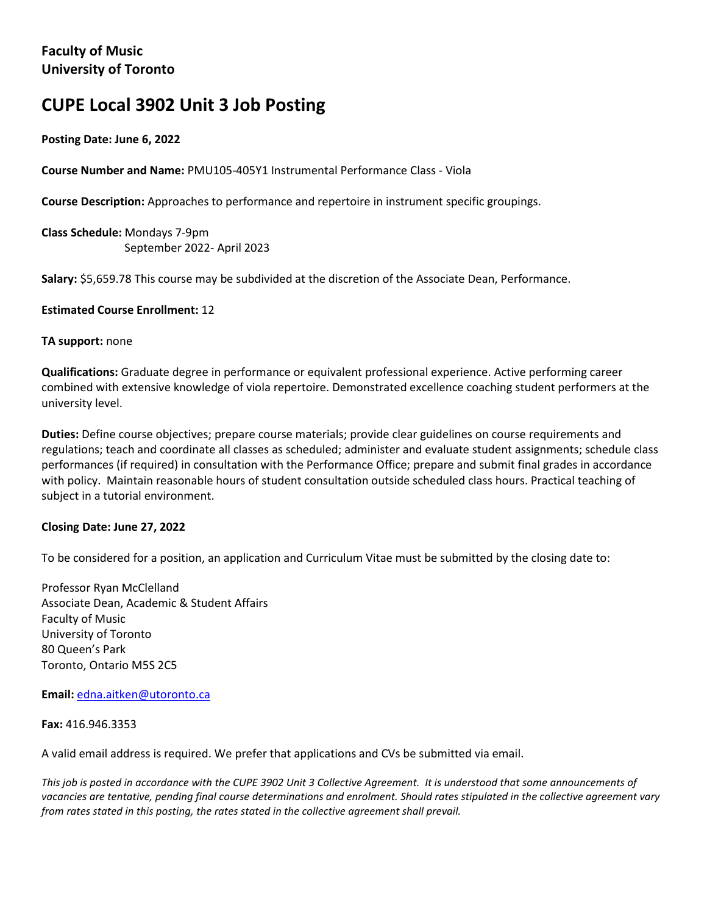# **CUPE Local 3902 Unit 3 Job Posting**

# **Posting Date: June 6, 2022**

**Course Number and Name:** PMU105-405Y1 Instrumental Performance Class - Viola

**Course Description:** Approaches to performance and repertoire in instrument specific groupings.

**Class Schedule:** Mondays 7-9pm September 2022- April 2023

**Salary:** \$5,659.78 This course may be subdivided at the discretion of the Associate Dean, Performance.

## **Estimated Course Enrollment:** 12

#### **TA support:** none

**Qualifications:** Graduate degree in performance or equivalent professional experience. Active performing career combined with extensive knowledge of viola repertoire. Demonstrated excellence coaching student performers at the university level.

**Duties:** Define course objectives; prepare course materials; provide clear guidelines on course requirements and regulations; teach and coordinate all classes as scheduled; administer and evaluate student assignments; schedule class performances (if required) in consultation with the Performance Office; prepare and submit final grades in accordance with policy. Maintain reasonable hours of student consultation outside scheduled class hours. Practical teaching of subject in a tutorial environment.

## **Closing Date: June 27, 2022**

To be considered for a position, an application and Curriculum Vitae must be submitted by the closing date to:

Professor Ryan McClelland Associate Dean, Academic & Student Affairs Faculty of Music University of Toronto 80 Queen's Park Toronto, Ontario M5S 2C5

**Email:** edna.aitken@utoronto.ca

**Fax:** 416.946.3353

A valid email address is required. We prefer that applications and CVs be submitted via email.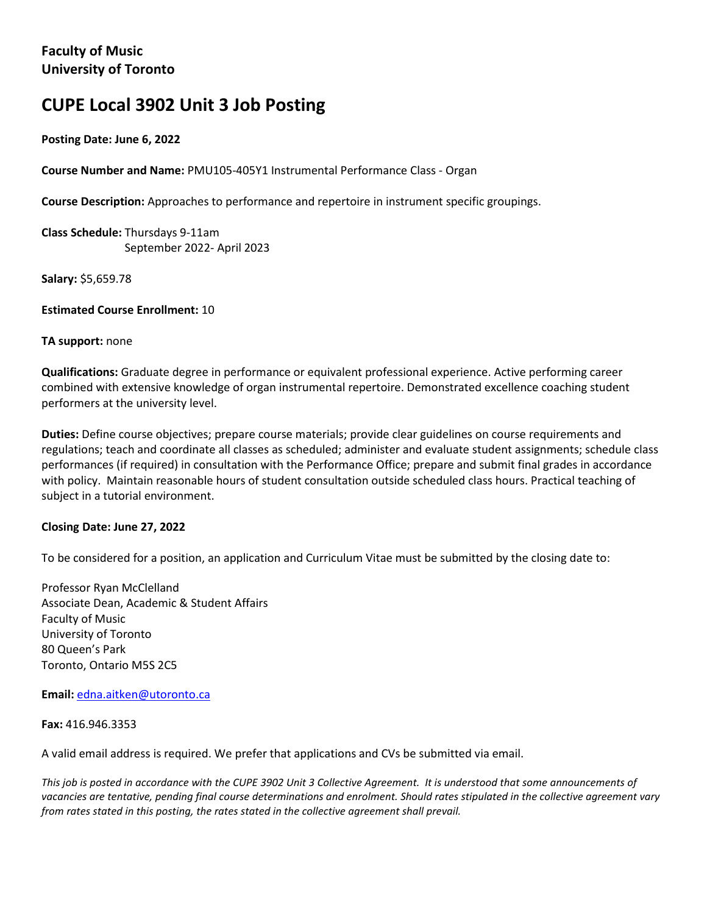# **CUPE Local 3902 Unit 3 Job Posting**

## **Posting Date: June 6, 2022**

**Course Number and Name:** PMU105-405Y1 Instrumental Performance Class - Organ

**Course Description:** Approaches to performance and repertoire in instrument specific groupings.

**Class Schedule:** Thursdays 9-11am September 2022- April 2023

**Salary:** \$5,659.78

**Estimated Course Enrollment:** 10

#### **TA support:** none

**Qualifications:** Graduate degree in performance or equivalent professional experience. Active performing career combined with extensive knowledge of organ instrumental repertoire. Demonstrated excellence coaching student performers at the university level.

**Duties:** Define course objectives; prepare course materials; provide clear guidelines on course requirements and regulations; teach and coordinate all classes as scheduled; administer and evaluate student assignments; schedule class performances (if required) in consultation with the Performance Office; prepare and submit final grades in accordance with policy. Maintain reasonable hours of student consultation outside scheduled class hours. Practical teaching of subject in a tutorial environment.

## **Closing Date: June 27, 2022**

To be considered for a position, an application and Curriculum Vitae must be submitted by the closing date to:

Professor Ryan McClelland Associate Dean, Academic & Student Affairs Faculty of Music University of Toronto 80 Queen's Park Toronto, Ontario M5S 2C5

**Email:** edna.aitken@utoronto.ca

**Fax:** 416.946.3353

A valid email address is required. We prefer that applications and CVs be submitted via email.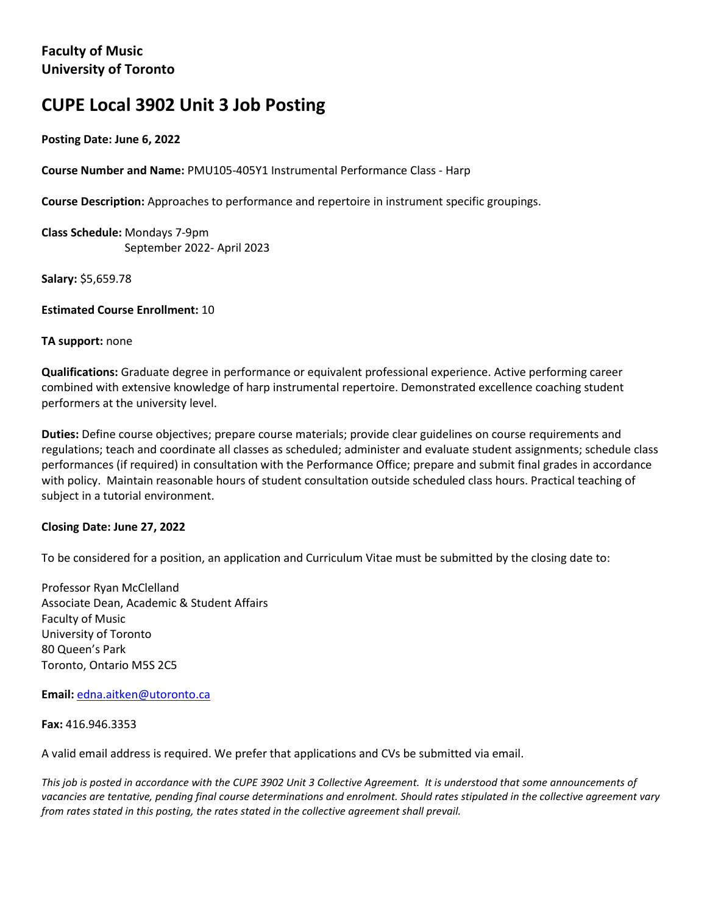# **CUPE Local 3902 Unit 3 Job Posting**

## **Posting Date: June 6, 2022**

**Course Number and Name:** PMU105-405Y1 Instrumental Performance Class - Harp

**Course Description:** Approaches to performance and repertoire in instrument specific groupings.

**Class Schedule:** Mondays 7-9pm September 2022- April 2023

**Salary:** \$5,659.78

**Estimated Course Enrollment:** 10

#### **TA support:** none

**Qualifications:** Graduate degree in performance or equivalent professional experience. Active performing career combined with extensive knowledge of harp instrumental repertoire. Demonstrated excellence coaching student performers at the university level.

**Duties:** Define course objectives; prepare course materials; provide clear guidelines on course requirements and regulations; teach and coordinate all classes as scheduled; administer and evaluate student assignments; schedule class performances (if required) in consultation with the Performance Office; prepare and submit final grades in accordance with policy. Maintain reasonable hours of student consultation outside scheduled class hours. Practical teaching of subject in a tutorial environment.

## **Closing Date: June 27, 2022**

To be considered for a position, an application and Curriculum Vitae must be submitted by the closing date to:

Professor Ryan McClelland Associate Dean, Academic & Student Affairs Faculty of Music University of Toronto 80 Queen's Park Toronto, Ontario M5S 2C5

**Email:** edna.aitken@utoronto.ca

**Fax:** 416.946.3353

A valid email address is required. We prefer that applications and CVs be submitted via email.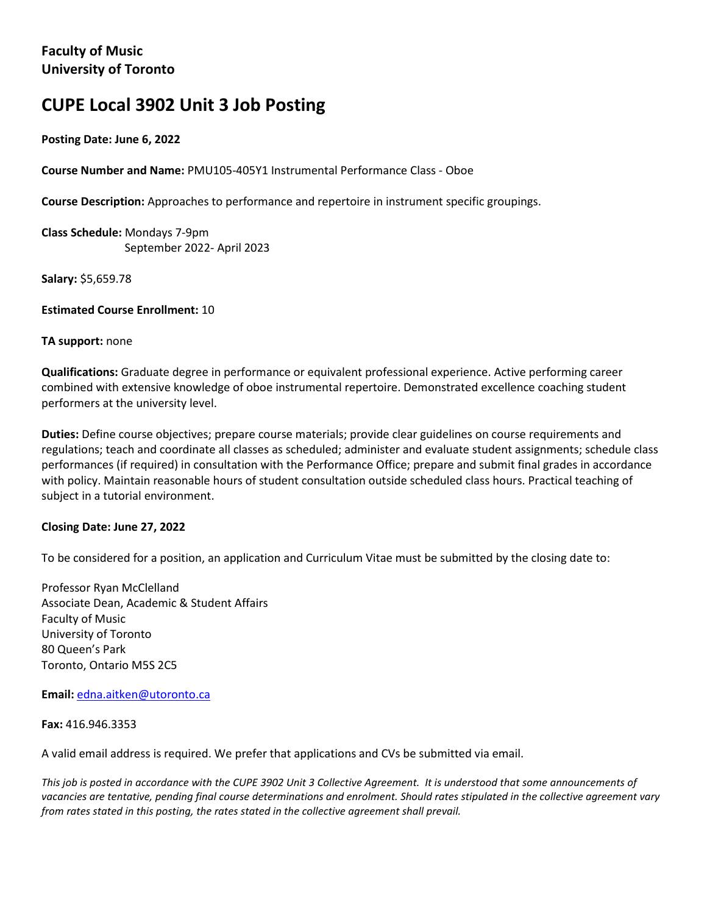# **CUPE Local 3902 Unit 3 Job Posting**

## **Posting Date: June 6, 2022**

**Course Number and Name:** PMU105-405Y1 Instrumental Performance Class - Oboe

**Course Description:** Approaches to performance and repertoire in instrument specific groupings.

**Class Schedule:** Mondays 7-9pm September 2022- April 2023

**Salary:** \$5,659.78

**Estimated Course Enrollment:** 10

#### **TA support:** none

**Qualifications:** Graduate degree in performance or equivalent professional experience. Active performing career combined with extensive knowledge of oboe instrumental repertoire. Demonstrated excellence coaching student performers at the university level.

**Duties:** Define course objectives; prepare course materials; provide clear guidelines on course requirements and regulations; teach and coordinate all classes as scheduled; administer and evaluate student assignments; schedule class performances (if required) in consultation with the Performance Office; prepare and submit final grades in accordance with policy. Maintain reasonable hours of student consultation outside scheduled class hours. Practical teaching of subject in a tutorial environment.

## **Closing Date: June 27, 2022**

To be considered for a position, an application and Curriculum Vitae must be submitted by the closing date to:

Professor Ryan McClelland Associate Dean, Academic & Student Affairs Faculty of Music University of Toronto 80 Queen's Park Toronto, Ontario M5S 2C5

**Email:** edna.aitken@utoronto.ca

**Fax:** 416.946.3353

A valid email address is required. We prefer that applications and CVs be submitted via email.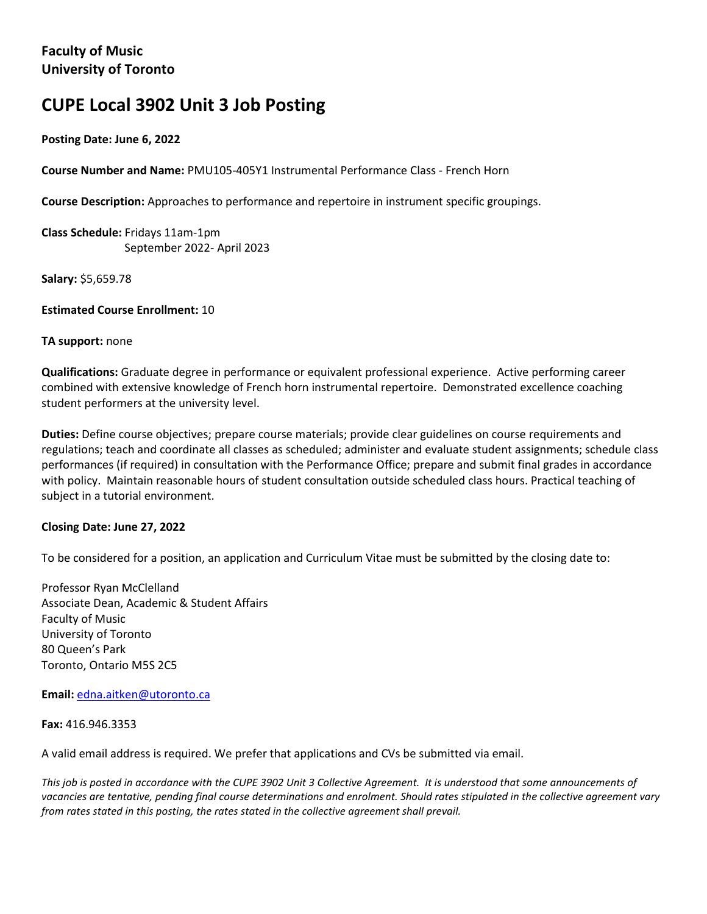# **CUPE Local 3902 Unit 3 Job Posting**

## **Posting Date: June 6, 2022**

**Course Number and Name:** PMU105-405Y1 Instrumental Performance Class - French Horn

**Course Description:** Approaches to performance and repertoire in instrument specific groupings.

**Class Schedule:** Fridays 11am-1pm September 2022- April 2023

**Salary:** \$5,659.78

**Estimated Course Enrollment:** 10

## **TA support:** none

**Qualifications:** Graduate degree in performance or equivalent professional experience. Active performing career combined with extensive knowledge of French horn instrumental repertoire. Demonstrated excellence coaching student performers at the university level.

**Duties:** Define course objectives; prepare course materials; provide clear guidelines on course requirements and regulations; teach and coordinate all classes as scheduled; administer and evaluate student assignments; schedule class performances (if required) in consultation with the Performance Office; prepare and submit final grades in accordance with policy. Maintain reasonable hours of student consultation outside scheduled class hours. Practical teaching of subject in a tutorial environment.

## **Closing Date: June 27, 2022**

To be considered for a position, an application and Curriculum Vitae must be submitted by the closing date to:

Professor Ryan McClelland Associate Dean, Academic & Student Affairs Faculty of Music University of Toronto 80 Queen's Park Toronto, Ontario M5S 2C5

**Email:** edna.aitken@utoronto.ca

**Fax:** 416.946.3353

A valid email address is required. We prefer that applications and CVs be submitted via email.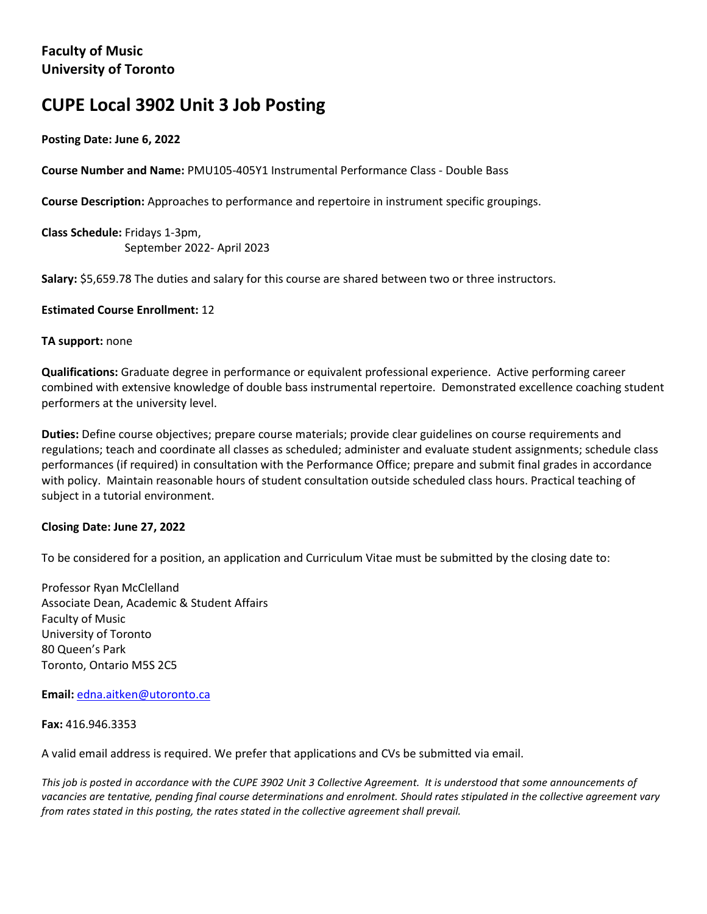# **CUPE Local 3902 Unit 3 Job Posting**

# **Posting Date: June 6, 2022**

**Course Number and Name:** PMU105-405Y1 Instrumental Performance Class - Double Bass

**Course Description:** Approaches to performance and repertoire in instrument specific groupings.

**Class Schedule:** Fridays 1-3pm, September 2022- April 2023

**Salary:** \$5,659.78 The duties and salary for this course are shared between two or three instructors.

## **Estimated Course Enrollment:** 12

#### **TA support:** none

**Qualifications:** Graduate degree in performance or equivalent professional experience. Active performing career combined with extensive knowledge of double bass instrumental repertoire. Demonstrated excellence coaching student performers at the university level.

**Duties:** Define course objectives; prepare course materials; provide clear guidelines on course requirements and regulations; teach and coordinate all classes as scheduled; administer and evaluate student assignments; schedule class performances (if required) in consultation with the Performance Office; prepare and submit final grades in accordance with policy. Maintain reasonable hours of student consultation outside scheduled class hours. Practical teaching of subject in a tutorial environment.

## **Closing Date: June 27, 2022**

To be considered for a position, an application and Curriculum Vitae must be submitted by the closing date to:

Professor Ryan McClelland Associate Dean, Academic & Student Affairs Faculty of Music University of Toronto 80 Queen's Park Toronto, Ontario M5S 2C5

**Email:** edna.aitken@utoronto.ca

**Fax:** 416.946.3353

A valid email address is required. We prefer that applications and CVs be submitted via email.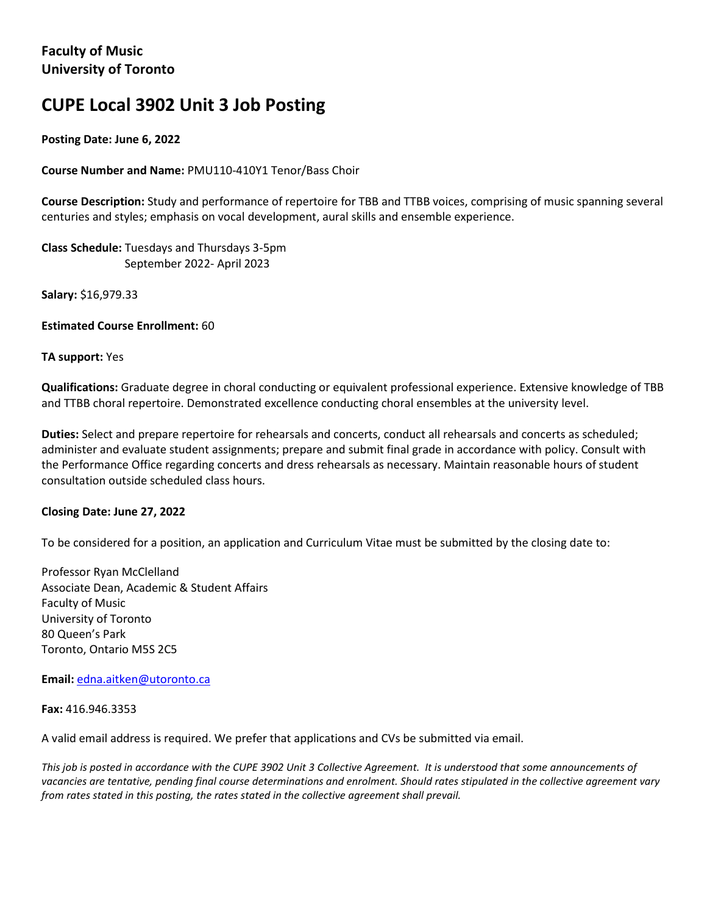# **CUPE Local 3902 Unit 3 Job Posting**

# **Posting Date: June 6, 2022**

## **Course Number and Name:** PMU110-410Y1 Tenor/Bass Choir

**Course Description:** Study and performance of repertoire for TBB and TTBB voices, comprising of music spanning several centuries and styles; emphasis on vocal development, aural skills and ensemble experience.

**Class Schedule:** Tuesdays and Thursdays 3-5pm September 2022- April 2023

**Salary:** \$16,979.33

**Estimated Course Enrollment:** 60

#### **TA support:** Yes

**Qualifications:** Graduate degree in choral conducting or equivalent professional experience. Extensive knowledge of TBB and TTBB choral repertoire. Demonstrated excellence conducting choral ensembles at the university level.

**Duties:** Select and prepare repertoire for rehearsals and concerts, conduct all rehearsals and concerts as scheduled; administer and evaluate student assignments; prepare and submit final grade in accordance with policy. Consult with the Performance Office regarding concerts and dress rehearsals as necessary. Maintain reasonable hours of student consultation outside scheduled class hours.

## **Closing Date: June 27, 2022**

To be considered for a position, an application and Curriculum Vitae must be submitted by the closing date to:

Professor Ryan McClelland Associate Dean, Academic & Student Affairs Faculty of Music University of Toronto 80 Queen's Park Toronto, Ontario M5S 2C5

**Email:** edna.aitken@utoronto.ca

**Fax:** 416.946.3353

A valid email address is required. We prefer that applications and CVs be submitted via email.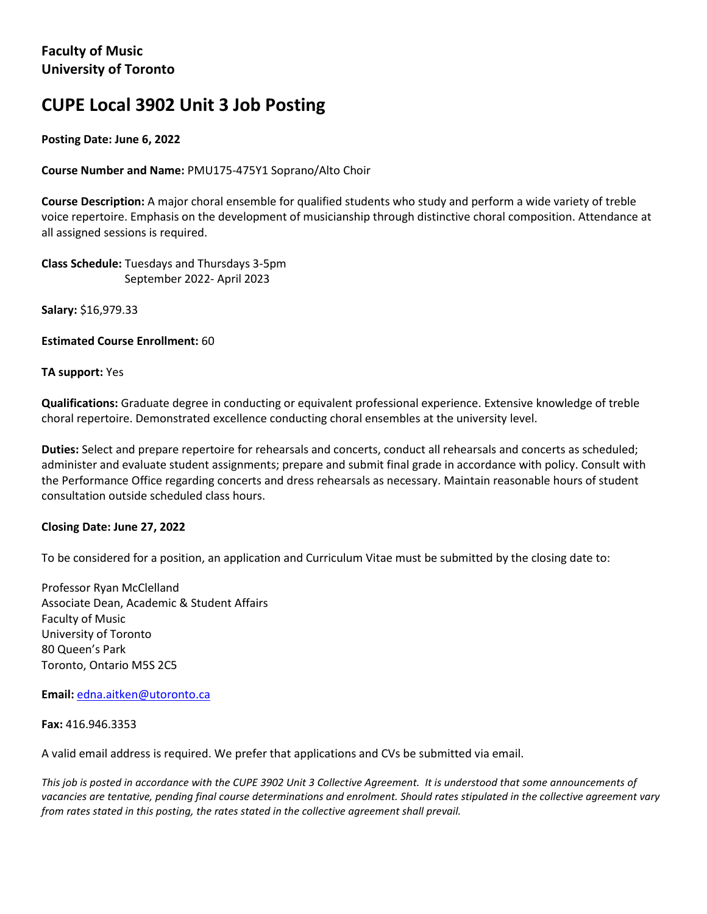# **CUPE Local 3902 Unit 3 Job Posting**

# **Posting Date: June 6, 2022**

**Course Number and Name:** PMU175-475Y1 Soprano/Alto Choir

**Course Description:** A major choral ensemble for qualified students who study and perform a wide variety of treble voice repertoire. Emphasis on the development of musicianship through distinctive choral composition. Attendance at all assigned sessions is required.

**Class Schedule:** Tuesdays and Thursdays 3-5pm September 2022- April 2023

**Salary:** \$16,979.33

**Estimated Course Enrollment:** 60

**TA support:** Yes

**Qualifications:** Graduate degree in conducting or equivalent professional experience. Extensive knowledge of treble choral repertoire. Demonstrated excellence conducting choral ensembles at the university level.

**Duties:** Select and prepare repertoire for rehearsals and concerts, conduct all rehearsals and concerts as scheduled; administer and evaluate student assignments; prepare and submit final grade in accordance with policy. Consult with the Performance Office regarding concerts and dress rehearsals as necessary. Maintain reasonable hours of student consultation outside scheduled class hours.

## **Closing Date: June 27, 2022**

To be considered for a position, an application and Curriculum Vitae must be submitted by the closing date to:

Professor Ryan McClelland Associate Dean, Academic & Student Affairs Faculty of Music University of Toronto 80 Queen's Park Toronto, Ontario M5S 2C5

**Email:** edna.aitken@utoronto.ca

**Fax:** 416.946.3353

A valid email address is required. We prefer that applications and CVs be submitted via email.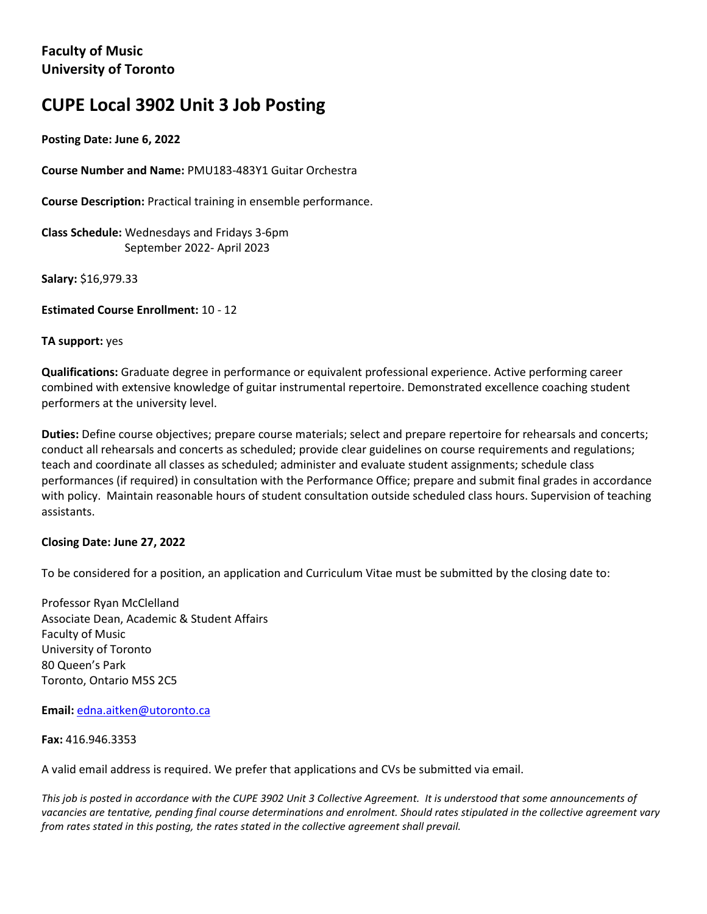# **CUPE Local 3902 Unit 3 Job Posting**

**Posting Date: June 6, 2022**

**Course Number and Name:** PMU183-483Y1 Guitar Orchestra

**Course Description:** Practical training in ensemble performance.

**Class Schedule:** Wednesdays and Fridays 3-6pm September 2022- April 2023

**Salary:** \$16,979.33

**Estimated Course Enrollment:** 10 - 12

#### **TA support:** yes

**Qualifications:** Graduate degree in performance or equivalent professional experience. Active performing career combined with extensive knowledge of guitar instrumental repertoire. Demonstrated excellence coaching student performers at the university level.

**Duties:** Define course objectives; prepare course materials; select and prepare repertoire for rehearsals and concerts; conduct all rehearsals and concerts as scheduled; provide clear guidelines on course requirements and regulations; teach and coordinate all classes as scheduled; administer and evaluate student assignments; schedule class performances (if required) in consultation with the Performance Office; prepare and submit final grades in accordance with policy. Maintain reasonable hours of student consultation outside scheduled class hours. Supervision of teaching assistants.

## **Closing Date: June 27, 2022**

To be considered for a position, an application and Curriculum Vitae must be submitted by the closing date to:

Professor Ryan McClelland Associate Dean, Academic & Student Affairs Faculty of Music University of Toronto 80 Queen's Park Toronto, Ontario M5S 2C5

**Email:** edna.aitken@utoronto.ca

#### **Fax:** 416.946.3353

A valid email address is required. We prefer that applications and CVs be submitted via email.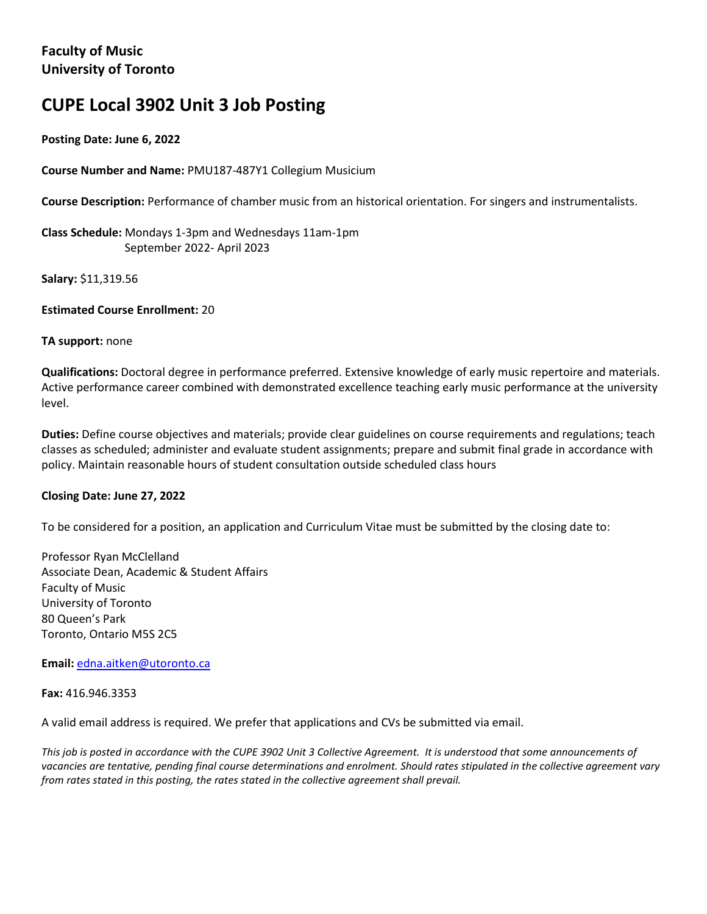# **CUPE Local 3902 Unit 3 Job Posting**

## **Posting Date: June 6, 2022**

**Course Number and Name:** PMU187-487Y1 Collegium Musicium

**Course Description:** Performance of chamber music from an historical orientation. For singers and instrumentalists.

**Class Schedule:** Mondays 1-3pm and Wednesdays 11am-1pm September 2022- April 2023

**Salary:** \$11,319.56

**Estimated Course Enrollment:** 20

#### **TA support:** none

**Qualifications:** Doctoral degree in performance preferred. Extensive knowledge of early music repertoire and materials. Active performance career combined with demonstrated excellence teaching early music performance at the university level.

**Duties:** Define course objectives and materials; provide clear guidelines on course requirements and regulations; teach classes as scheduled; administer and evaluate student assignments; prepare and submit final grade in accordance with policy. Maintain reasonable hours of student consultation outside scheduled class hours

## **Closing Date: June 27, 2022**

To be considered for a position, an application and Curriculum Vitae must be submitted by the closing date to:

Professor Ryan McClelland Associate Dean, Academic & Student Affairs Faculty of Music University of Toronto 80 Queen's Park Toronto, Ontario M5S 2C5

**Email:** edna.aitken@utoronto.ca

**Fax:** 416.946.3353

A valid email address is required. We prefer that applications and CVs be submitted via email.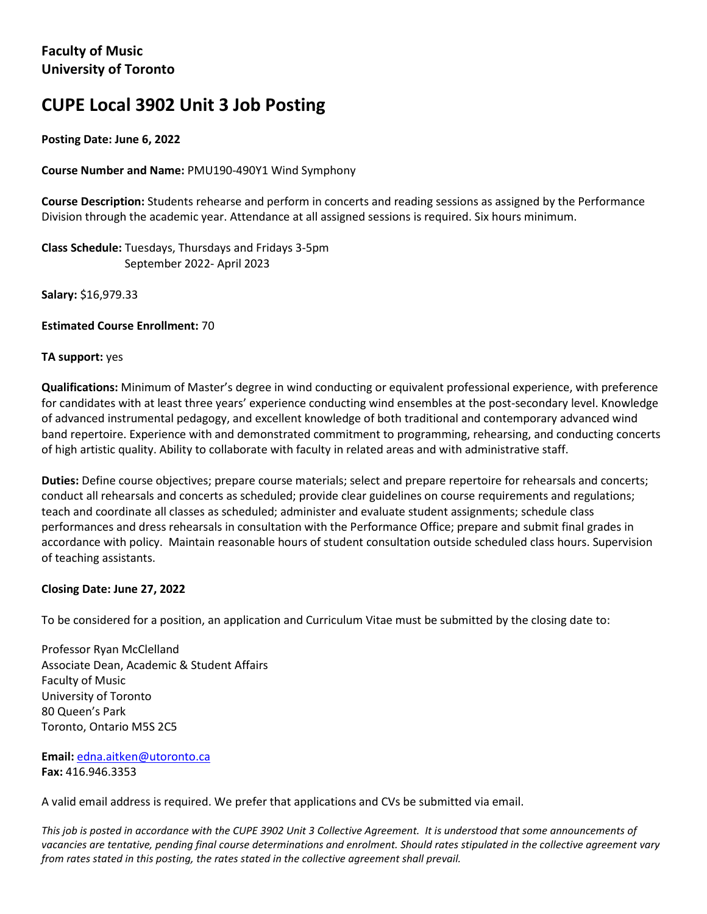# **CUPE Local 3902 Unit 3 Job Posting**

# **Posting Date: June 6, 2022**

# **Course Number and Name:** PMU190-490Y1 Wind Symphony

**Course Description:** Students rehearse and perform in concerts and reading sessions as assigned by the Performance Division through the academic year. Attendance at all assigned sessions is required. Six hours minimum.

**Class Schedule:** Tuesdays, Thursdays and Fridays 3-5pm September 2022- April 2023

**Salary:** \$16,979.33

**Estimated Course Enrollment:** 70

#### **TA support:** yes

**Qualifications:** Minimum of Master's degree in wind conducting or equivalent professional experience, with preference for candidates with at least three years' experience conducting wind ensembles at the post-secondary level. Knowledge of advanced instrumental pedagogy, and excellent knowledge of both traditional and contemporary advanced wind band repertoire. Experience with and demonstrated commitment to programming, rehearsing, and conducting concerts of high artistic quality. Ability to collaborate with faculty in related areas and with administrative staff.

**Duties:** Define course objectives; prepare course materials; select and prepare repertoire for rehearsals and concerts; conduct all rehearsals and concerts as scheduled; provide clear guidelines on course requirements and regulations; teach and coordinate all classes as scheduled; administer and evaluate student assignments; schedule class performances and dress rehearsals in consultation with the Performance Office; prepare and submit final grades in accordance with policy. Maintain reasonable hours of student consultation outside scheduled class hours. Supervision of teaching assistants.

## **Closing Date: June 27, 2022**

To be considered for a position, an application and Curriculum Vitae must be submitted by the closing date to:

Professor Ryan McClelland Associate Dean, Academic & Student Affairs Faculty of Music University of Toronto 80 Queen's Park Toronto, Ontario M5S 2C5

**Email:** edna.aitken@utoronto.ca **Fax:** 416.946.3353

A valid email address is required. We prefer that applications and CVs be submitted via email.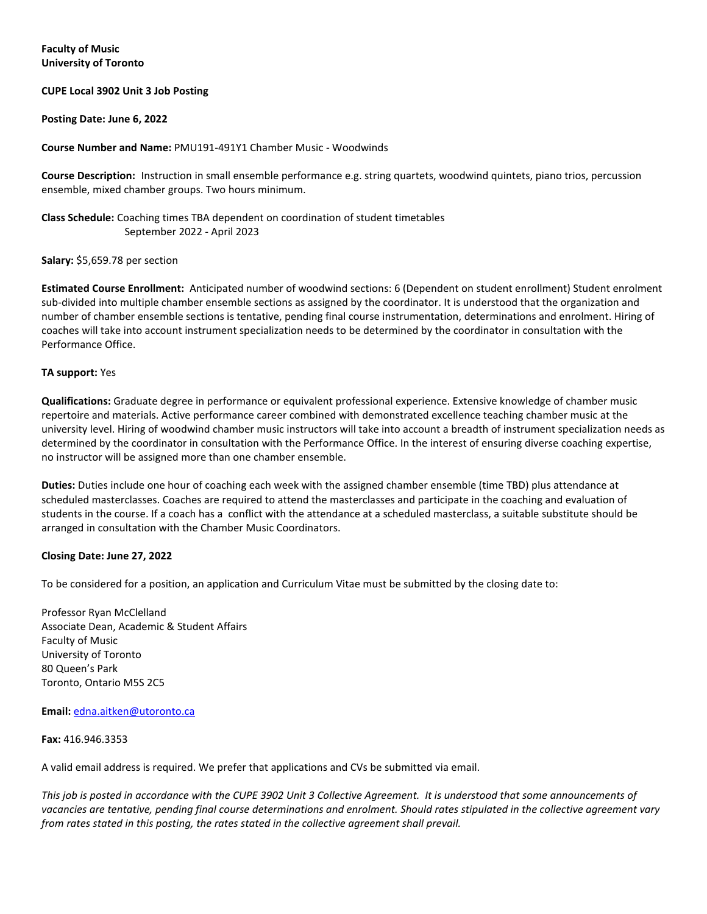#### **CUPE Local 3902 Unit 3 Job Posting**

#### **Posting Date: June 6, 2022**

#### **Course Number and Name:** PMU191-491Y1 Chamber Music - Woodwinds

**Course Description:** Instruction in small ensemble performance e.g. string quartets, woodwind quintets, piano trios, percussion ensemble, mixed chamber groups. Two hours minimum.

#### **Class Schedule:** Coaching times TBA dependent on coordination of student timetables September 2022 - April 2023

#### **Salary:** \$5,659.78 per section

**Estimated Course Enrollment:** Anticipated number of woodwind sections: 6 (Dependent on student enrollment) Student enrolment sub-divided into multiple chamber ensemble sections as assigned by the coordinator. It is understood that the organization and number of chamber ensemble sections is tentative, pending final course instrumentation, determinations and enrolment. Hiring of coaches will take into account instrument specialization needs to be determined by the coordinator in consultation with the Performance Office.

#### **TA support:** Yes

**Qualifications:** Graduate degree in performance or equivalent professional experience. Extensive knowledge of chamber music repertoire and materials. Active performance career combined with demonstrated excellence teaching chamber music at the university level. Hiring of woodwind chamber music instructors will take into account a breadth of instrument specialization needs as determined by the coordinator in consultation with the Performance Office. In the interest of ensuring diverse coaching expertise, no instructor will be assigned more than one chamber ensemble.

**Duties:** Duties include one hour of coaching each week with the assigned chamber ensemble (time TBD) plus attendance at scheduled masterclasses. Coaches are required to attend the masterclasses and participate in the coaching and evaluation of students in the course. If a coach has a conflict with the attendance at a scheduled masterclass, a suitable substitute should be arranged in consultation with the Chamber Music Coordinators.

#### **Closing Date: June 27, 2022**

To be considered for a position, an application and Curriculum Vitae must be submitted by the closing date to:

Professor Ryan McClelland Associate Dean, Academic & Student Affairs Faculty of Music University of Toronto 80 Queen's Park Toronto, Ontario M5S 2C5

#### **Email:** edna.aitken@utoronto.ca

#### **Fax:** 416.946.3353

A valid email address is required. We prefer that applications and CVs be submitted via email.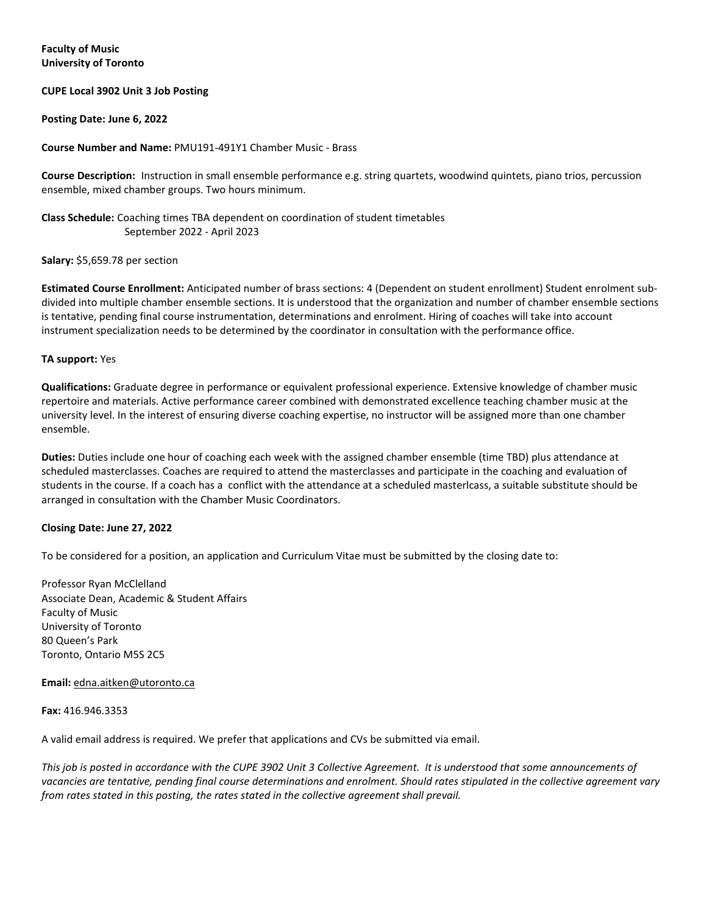#### **CUPE Local 3902 Unit 3 Job Posting**

#### **Posting Date: June 6, 2022**

#### **Course Number and Name:** PMU191-491Y1 Chamber Music - Brass

**Course Description:** Instruction in small ensemble performance e.g. string quartets, woodwind quintets, piano trios, percussion ensemble, mixed chamber groups. Two hours minimum.

#### **Class Schedule:** Coaching times TBA dependent on coordination of student timetables September 2022 - April 2023

#### **Salary:** \$5,659.78 per section

**Estimated Course Enrollment:** Anticipated number of brass sections: 4 (Dependent on student enrollment) Student enrolment subdivided into multiple chamber ensemble sections. It is understood that the organization and number of chamber ensemble sections is tentative, pending final course instrumentation, determinations and enrolment. Hiring of coaches will take into account instrument specialization needs to be determined by the coordinator in consultation with the performance office.

#### **TA support:** Yes

**Qualifications:** Graduate degree in performance or equivalent professional experience. Extensive knowledge of chamber music repertoire and materials. Active performance career combined with demonstrated excellence teaching chamber music at the university level. In the interest of ensuring diverse coaching expertise, no instructor will be assigned more than one chamber ensemble.

**Duties:** Duties include one hour of coaching each week with the assigned chamber ensemble (time TBD) plus attendance at scheduled masterclasses. Coaches are required to attend the masterclasses and participate in the coaching and evaluation of students in the course. If a coach has a conflict with the attendance at a scheduled masterlcass, a suitable substitute should be arranged in consultation with the Chamber Music Coordinators.

#### **Closing Date: June 27, 2022**

To be considered for a position, an application and Curriculum Vitae must be submitted by the closing date to:

Professor Ryan McClelland Associate Dean, Academic & Student Affairs Faculty of Music University of Toronto 80 Queen's Park Toronto, Ontario M5S 2C5

#### **Email:** [edna.aitken@utoronto.ca](mailto:edna.aitken@utoronto.ca)

#### **Fax:** 416.946.3353

A valid email address is required. We prefer that applications and CVs be submitted via email.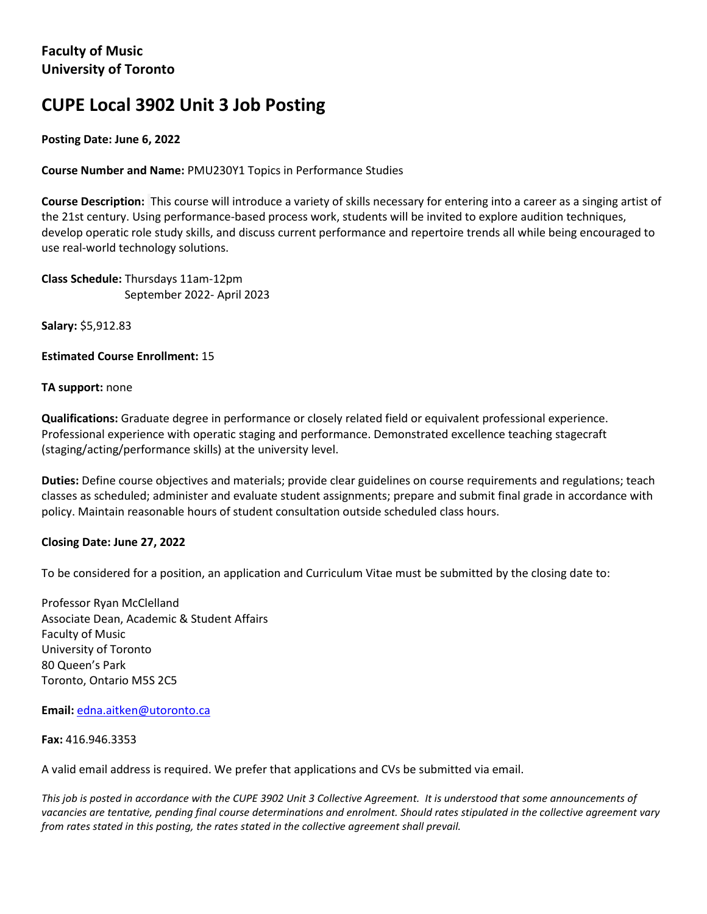# **CUPE Local 3902 Unit 3 Job Posting**

# **Posting Date: June 6, 2022**

**Course Number and Name:** PMU230Y1 Topics in Performance Studies

**Course Description:** This course will introduce a variety of skills necessary for entering into a career as a singing artist of the 21st century. Using performance-based process work, students will be invited to explore audition techniques, develop operatic role study skills, and discuss current performance and repertoire trends all while being encouraged to use real-world technology solutions.

**Class Schedule:** Thursdays 11am-12pm September 2022- April 2023

**Salary:** \$5,912.83

**Estimated Course Enrollment:** 15

## **TA support:** none

**Qualifications:** Graduate degree in performance or closely related field or equivalent professional experience. Professional experience with operatic staging and performance. Demonstrated excellence teaching stagecraft (staging/acting/performance skills) at the university level.

**Duties:** Define course objectives and materials; provide clear guidelines on course requirements and regulations; teach classes as scheduled; administer and evaluate student assignments; prepare and submit final grade in accordance with policy. Maintain reasonable hours of student consultation outside scheduled class hours.

## **Closing Date: June 27, 2022**

To be considered for a position, an application and Curriculum Vitae must be submitted by the closing date to:

Professor Ryan McClelland Associate Dean, Academic & Student Affairs Faculty of Music University of Toronto 80 Queen's Park Toronto, Ontario M5S 2C5

**Email:** edna.aitken@utoronto.ca

#### **Fax:** 416.946.3353

A valid email address is required. We prefer that applications and CVs be submitted via email.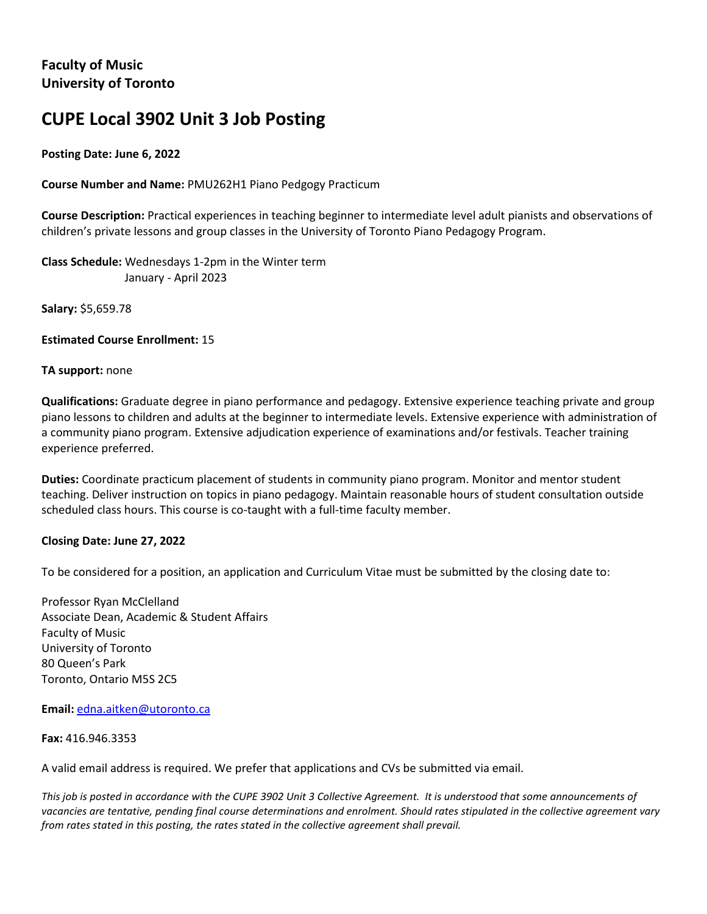# **CUPE Local 3902 Unit 3 Job Posting**

# **Posting Date: June 6, 2022**

**Course Number and Name:** PMU262H1 Piano Pedgogy Practicum

**Course Description:** Practical experiences in teaching beginner to intermediate level adult pianists and observations of children's private lessons and group classes in the University of Toronto Piano Pedagogy Program.

**Class Schedule:** Wednesdays 1-2pm in the Winter term January - April 2023

**Salary:** \$5,659.78

**Estimated Course Enrollment:** 15

## **TA support:** none

**Qualifications:** Graduate degree in piano performance and pedagogy. Extensive experience teaching private and group piano lessons to children and adults at the beginner to intermediate levels. Extensive experience with administration of a community piano program. Extensive adjudication experience of examinations and/or festivals. Teacher training experience preferred.

**Duties:** Coordinate practicum placement of students in community piano program. Monitor and mentor student teaching. Deliver instruction on topics in piano pedagogy. Maintain reasonable hours of student consultation outside scheduled class hours. This course is co-taught with a full-time faculty member.

## **Closing Date: June 27, 2022**

To be considered for a position, an application and Curriculum Vitae must be submitted by the closing date to:

Professor Ryan McClelland Associate Dean, Academic & Student Affairs Faculty of Music University of Toronto 80 Queen's Park Toronto, Ontario M5S 2C5

## **Email:** edna.aitken@utoronto.ca

**Fax:** 416.946.3353

A valid email address is required. We prefer that applications and CVs be submitted via email.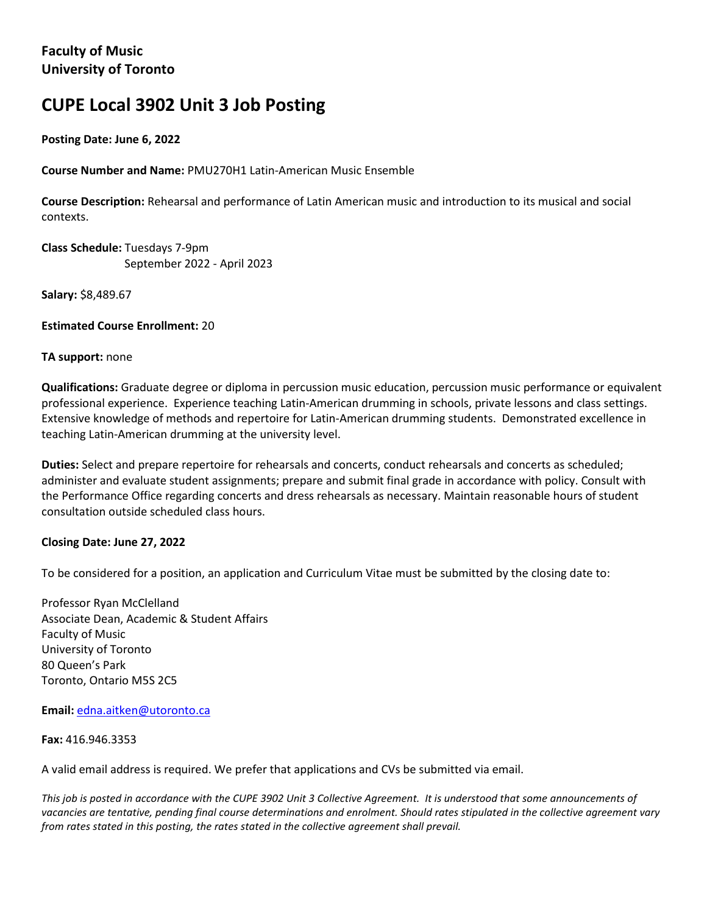# **CUPE Local 3902 Unit 3 Job Posting**

**Posting Date: June 6, 2022**

**Course Number and Name:** PMU270H1 Latin-American Music Ensemble

**Course Description:** Rehearsal and performance of Latin American music and introduction to its musical and social contexts.

**Class Schedule:** Tuesdays 7-9pm September 2022 - April 2023

**Salary:** \$8,489.67

**Estimated Course Enrollment:** 20

#### **TA support:** none

**Qualifications:** Graduate degree or diploma in percussion music education, percussion music performance or equivalent professional experience. Experience teaching Latin-American drumming in schools, private lessons and class settings. Extensive knowledge of methods and repertoire for Latin-American drumming students. Demonstrated excellence in teaching Latin-American drumming at the university level.

**Duties:** Select and prepare repertoire for rehearsals and concerts, conduct rehearsals and concerts as scheduled; administer and evaluate student assignments; prepare and submit final grade in accordance with policy. Consult with the Performance Office regarding concerts and dress rehearsals as necessary. Maintain reasonable hours of student consultation outside scheduled class hours.

## **Closing Date: June 27, 2022**

To be considered for a position, an application and Curriculum Vitae must be submitted by the closing date to:

Professor Ryan McClelland Associate Dean, Academic & Student Affairs Faculty of Music University of Toronto 80 Queen's Park Toronto, Ontario M5S 2C5

**Email:** edna.aitken@utoronto.ca

#### **Fax:** 416.946.3353

A valid email address is required. We prefer that applications and CVs be submitted via email.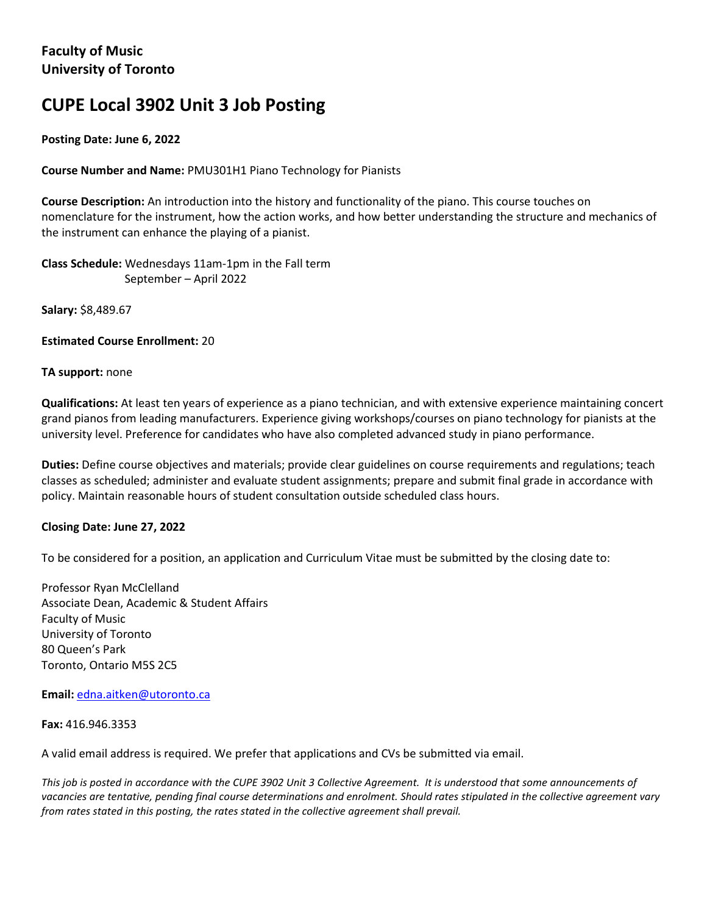# **CUPE Local 3902 Unit 3 Job Posting**

# **Posting Date: June 6, 2022**

**Course Number and Name:** PMU301H1 Piano Technology for Pianists

**Course Description:** An introduction into the history and functionality of the piano. This course touches on nomenclature for the instrument, how the action works, and how better understanding the structure and mechanics of the instrument can enhance the playing of a pianist.

**Class Schedule:** Wednesdays 11am-1pm in the Fall term September – April 2022

**Salary:** \$8,489.67

**Estimated Course Enrollment:** 20

## **TA support:** none

**Qualifications:** At least ten years of experience as a piano technician, and with extensive experience maintaining concert grand pianos from leading manufacturers. Experience giving workshops/courses on piano technology for pianists at the university level. Preference for candidates who have also completed advanced study in piano performance.

**Duties:** Define course objectives and materials; provide clear guidelines on course requirements and regulations; teach classes as scheduled; administer and evaluate student assignments; prepare and submit final grade in accordance with policy. Maintain reasonable hours of student consultation outside scheduled class hours.

## **Closing Date: June 27, 2022**

To be considered for a position, an application and Curriculum Vitae must be submitted by the closing date to:

Professor Ryan McClelland Associate Dean, Academic & Student Affairs Faculty of Music University of Toronto 80 Queen's Park Toronto, Ontario M5S 2C5

**Email:** edna.aitken@utoronto.ca

**Fax:** 416.946.3353

A valid email address is required. We prefer that applications and CVs be submitted via email.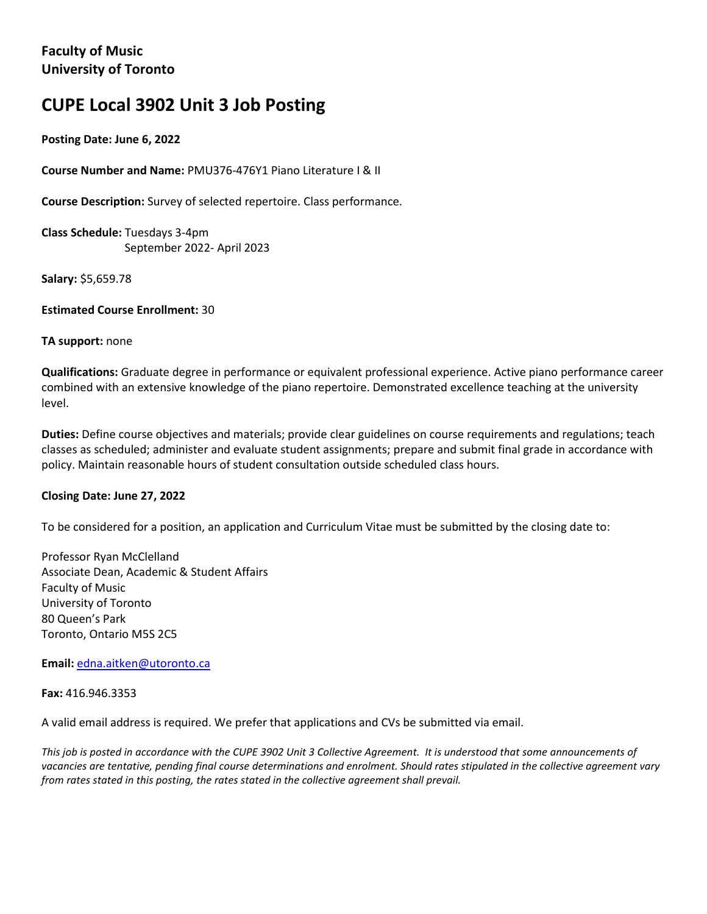# **CUPE Local 3902 Unit 3 Job Posting**

## **Posting Date: June 6, 2022**

**Course Number and Name:** PMU376-476Y1 Piano Literature I & II

**Course Description:** Survey of selected repertoire. Class performance.

**Class Schedule:** Tuesdays 3-4pm September 2022- April 2023

**Salary:** \$5,659.78

**Estimated Course Enrollment:** 30

#### **TA support:** none

**Qualifications:** Graduate degree in performance or equivalent professional experience. Active piano performance career combined with an extensive knowledge of the piano repertoire. Demonstrated excellence teaching at the university level.

**Duties:** Define course objectives and materials; provide clear guidelines on course requirements and regulations; teach classes as scheduled; administer and evaluate student assignments; prepare and submit final grade in accordance with policy. Maintain reasonable hours of student consultation outside scheduled class hours.

## **Closing Date: June 27, 2022**

To be considered for a position, an application and Curriculum Vitae must be submitted by the closing date to:

Professor Ryan McClelland Associate Dean, Academic & Student Affairs Faculty of Music University of Toronto 80 Queen's Park Toronto, Ontario M5S 2C5

**Email:** edna.aitken@utoronto.ca

**Fax:** 416.946.3353

A valid email address is required. We prefer that applications and CVs be submitted via email.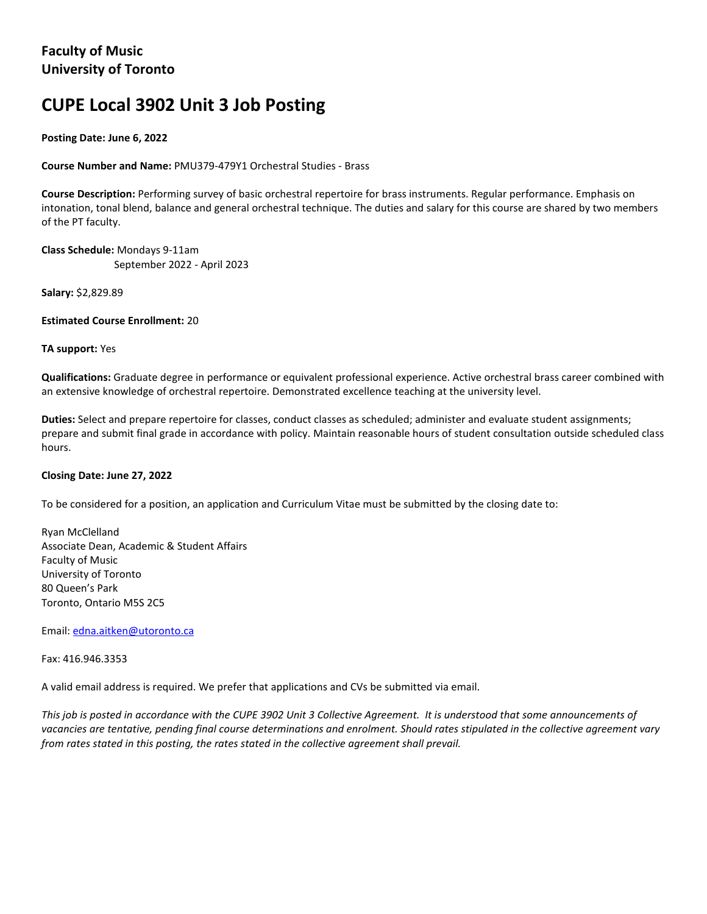# **CUPE Local 3902 Unit 3 Job Posting**

**Posting Date: June 6, 2022**

**Course Number and Name:** PMU379-479Y1 Orchestral Studies - Brass

**Course Description:** Performing survey of basic orchestral repertoire for brass instruments. Regular performance. Emphasis on intonation, tonal blend, balance and general orchestral technique. The duties and salary for this course are shared by two members of the PT faculty.

**Class Schedule:** Mondays 9-11am September 2022 - April 2023

**Salary:** \$2,829.89

**Estimated Course Enrollment:** 20

**TA support:** Yes

**Qualifications:** Graduate degree in performance or equivalent professional experience. Active orchestral brass career combined with an extensive knowledge of orchestral repertoire. Demonstrated excellence teaching at the university level.

**Duties:** Select and prepare repertoire for classes, conduct classes as scheduled; administer and evaluate student assignments; prepare and submit final grade in accordance with policy. Maintain reasonable hours of student consultation outside scheduled class hours.

#### **Closing Date: June 27, 2022**

To be considered for a position, an application and Curriculum Vitae must be submitted by the closing date to:

Ryan McClelland Associate Dean, Academic & Student Affairs Faculty of Music University of Toronto 80 Queen's Park Toronto, Ontario M5S 2C5

Email: [edna.aitken@utoronto.ca](mailto:edna.aitken@utoronto.ca)

Fax: 416.946.3353

A valid email address is required. We prefer that applications and CVs be submitted via email.